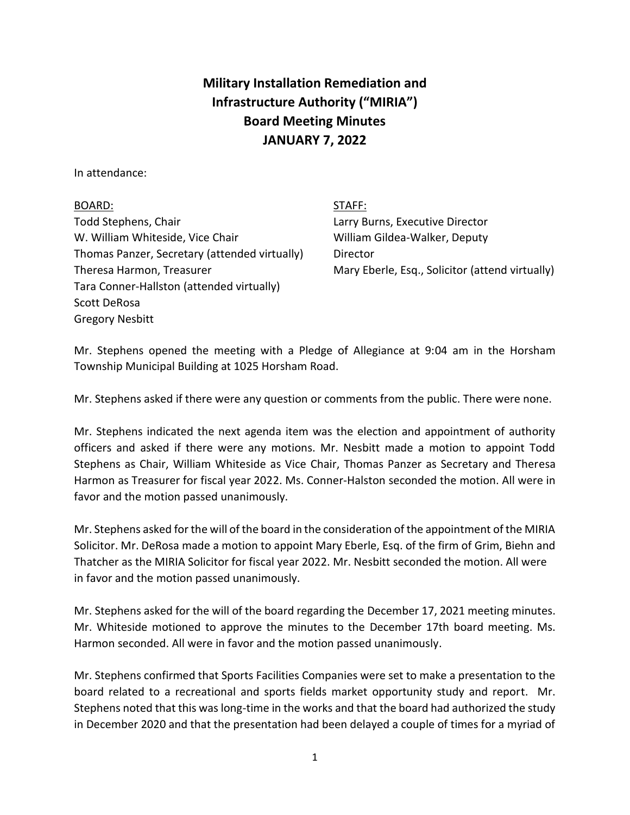## **Military Installation Remediation and Infrastructure Authority ("MIRIA") Board Meeting Minutes JANUARY 7, 2022**

In attendance:

Gregory Nesbitt

BOARD: STAFF: Todd Stephens, Chair Larry Burns, Executive Director W. William Whiteside, Vice Chair William Gildea-Walker, Deputy Thomas Panzer, Secretary (attended virtually) Director Tara Conner-Hallston (attended virtually) Scott DeRosa

Theresa Harmon, Treasurer Mary Eberle, Esq., Solicitor (attend virtually)

Mr. Stephens opened the meeting with a Pledge of Allegiance at 9:04 am in the Horsham Township Municipal Building at 1025 Horsham Road.

Mr. Stephens asked if there were any question or comments from the public. There were none.

Mr. Stephens indicated the next agenda item was the election and appointment of authority officers and asked if there were any motions. Mr. Nesbitt made a motion to appoint Todd Stephens as Chair, William Whiteside as Vice Chair, Thomas Panzer as Secretary and Theresa Harmon as Treasurer for fiscal year 2022. Ms. Conner-Halston seconded the motion. All were in favor and the motion passed unanimously.

Mr. Stephens asked for the will of the board in the consideration of the appointment of the MIRIA Solicitor. Mr. DeRosa made a motion to appoint Mary Eberle, Esq. of the firm of Grim, Biehn and Thatcher as the MIRIA Solicitor for fiscal year 2022. Mr. Nesbitt seconded the motion. All were in favor and the motion passed unanimously.

Mr. Stephens asked for the will of the board regarding the December 17, 2021 meeting minutes. Mr. Whiteside motioned to approve the minutes to the December 17th board meeting. Ms. Harmon seconded. All were in favor and the motion passed unanimously.

Mr. Stephens confirmed that Sports Facilities Companies were set to make a presentation to the board related to a recreational and sports fields market opportunity study and report. Mr. Stephens noted that this was long-time in the works and that the board had authorized the study in December 2020 and that the presentation had been delayed a couple of times for a myriad of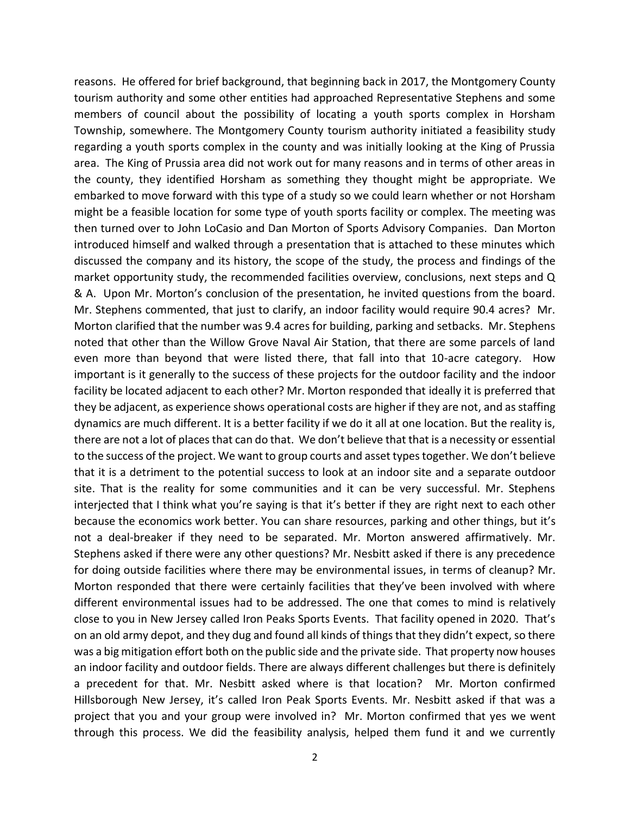reasons. He offered for brief background, that beginning back in 2017, the Montgomery County tourism authority and some other entities had approached Representative Stephens and some members of council about the possibility of locating a youth sports complex in Horsham Township, somewhere. The Montgomery County tourism authority initiated a feasibility study regarding a youth sports complex in the county and was initially looking at the King of Prussia area. The King of Prussia area did not work out for many reasons and in terms of other areas in the county, they identified Horsham as something they thought might be appropriate. We embarked to move forward with this type of a study so we could learn whether or not Horsham might be a feasible location for some type of youth sports facility or complex. The meeting was then turned over to John LoCasio and Dan Morton of Sports Advisory Companies. Dan Morton introduced himself and walked through a presentation that is attached to these minutes which discussed the company and its history, the scope of the study, the process and findings of the market opportunity study, the recommended facilities overview, conclusions, next steps and Q & A. Upon Mr. Morton's conclusion of the presentation, he invited questions from the board. Mr. Stephens commented, that just to clarify, an indoor facility would require 90.4 acres? Mr. Morton clarified that the number was 9.4 acres for building, parking and setbacks. Mr. Stephens noted that other than the Willow Grove Naval Air Station, that there are some parcels of land even more than beyond that were listed there, that fall into that 10-acre category. How important is it generally to the success of these projects for the outdoor facility and the indoor facility be located adjacent to each other? Mr. Morton responded that ideally it is preferred that they be adjacent, as experience shows operational costs are higher if they are not, and as staffing dynamics are much different. It is a better facility if we do it all at one location. But the reality is, there are not a lot of places that can do that. We don't believe that that is a necessity or essential to the success of the project. We want to group courts and asset types together. We don't believe that it is a detriment to the potential success to look at an indoor site and a separate outdoor site. That is the reality for some communities and it can be very successful. Mr. Stephens interjected that I think what you're saying is that it's better if they are right next to each other because the economics work better. You can share resources, parking and other things, but it's not a deal-breaker if they need to be separated. Mr. Morton answered affirmatively. Mr. Stephens asked if there were any other questions? Mr. Nesbitt asked if there is any precedence for doing outside facilities where there may be environmental issues, in terms of cleanup? Mr. Morton responded that there were certainly facilities that they've been involved with where different environmental issues had to be addressed. The one that comes to mind is relatively close to you in New Jersey called Iron Peaks Sports Events. That facility opened in 2020. That's on an old army depot, and they dug and found all kinds of things that they didn't expect, so there was a big mitigation effort both on the public side and the private side. That property now houses an indoor facility and outdoor fields. There are always different challenges but there is definitely a precedent for that. Mr. Nesbitt asked where is that location? Mr. Morton confirmed Hillsborough New Jersey, it's called Iron Peak Sports Events. Mr. Nesbitt asked if that was a project that you and your group were involved in? Mr. Morton confirmed that yes we went through this process. We did the feasibility analysis, helped them fund it and we currently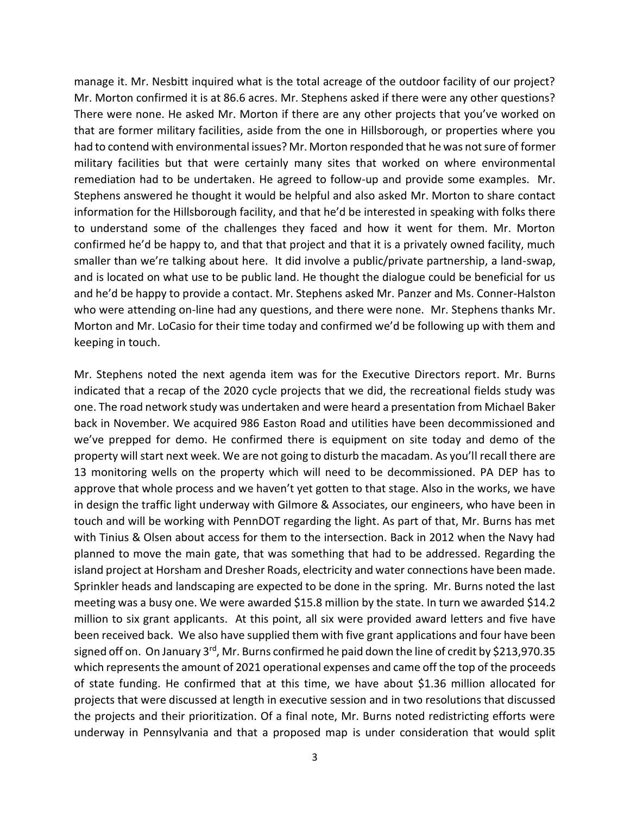manage it. Mr. Nesbitt inquired what is the total acreage of the outdoor facility of our project? Mr. Morton confirmed it is at 86.6 acres. Mr. Stephens asked if there were any other questions? There were none. He asked Mr. Morton if there are any other projects that you've worked on that are former military facilities, aside from the one in Hillsborough, or properties where you had to contend with environmental issues? Mr. Morton responded that he was not sure of former military facilities but that were certainly many sites that worked on where environmental remediation had to be undertaken. He agreed to follow-up and provide some examples. Mr. Stephens answered he thought it would be helpful and also asked Mr. Morton to share contact information for the Hillsborough facility, and that he'd be interested in speaking with folks there to understand some of the challenges they faced and how it went for them. Mr. Morton confirmed he'd be happy to, and that that project and that it is a privately owned facility, much smaller than we're talking about here. It did involve a public/private partnership, a land-swap, and is located on what use to be public land. He thought the dialogue could be beneficial for us and he'd be happy to provide a contact. Mr. Stephens asked Mr. Panzer and Ms. Conner-Halston who were attending on-line had any questions, and there were none. Mr. Stephens thanks Mr. Morton and Mr. LoCasio for their time today and confirmed we'd be following up with them and keeping in touch.

Mr. Stephens noted the next agenda item was for the Executive Directors report. Mr. Burns indicated that a recap of the 2020 cycle projects that we did, the recreational fields study was one. The road network study was undertaken and were heard a presentation from Michael Baker back in November. We acquired 986 Easton Road and utilities have been decommissioned and we've prepped for demo. He confirmed there is equipment on site today and demo of the property will start next week. We are not going to disturb the macadam. As you'll recall there are 13 monitoring wells on the property which will need to be decommissioned. PA DEP has to approve that whole process and we haven't yet gotten to that stage. Also in the works, we have in design the traffic light underway with Gilmore & Associates, our engineers, who have been in touch and will be working with PennDOT regarding the light. As part of that, Mr. Burns has met with Tinius & Olsen about access for them to the intersection. Back in 2012 when the Navy had planned to move the main gate, that was something that had to be addressed. Regarding the island project at Horsham and Dresher Roads, electricity and water connections have been made. Sprinkler heads and landscaping are expected to be done in the spring. Mr. Burns noted the last meeting was a busy one. We were awarded \$15.8 million by the state. In turn we awarded \$14.2 million to six grant applicants. At this point, all six were provided award letters and five have been received back. We also have supplied them with five grant applications and four have been signed off on. On January  $3^{rd}$ , Mr. Burns confirmed he paid down the line of credit by \$213,970.35 which represents the amount of 2021 operational expenses and came off the top of the proceeds of state funding. He confirmed that at this time, we have about \$1.36 million allocated for projects that were discussed at length in executive session and in two resolutions that discussed the projects and their prioritization. Of a final note, Mr. Burns noted redistricting efforts were underway in Pennsylvania and that a proposed map is under consideration that would split